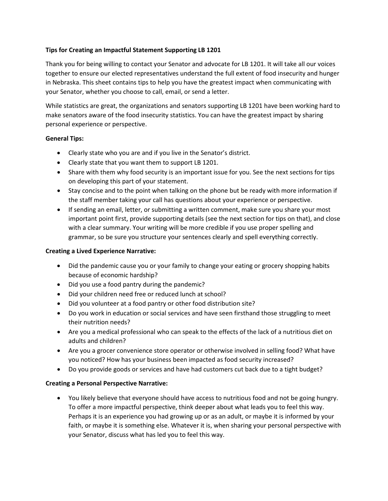# **Tips for Creating an Impactful Statement Supporting LB 1201**

Thank you for being willing to contact your Senator and advocate for LB 1201. It will take all our voices together to ensure our elected representatives understand the full extent of food insecurity and hunger in Nebraska. This sheet contains tips to help you have the greatest impact when communicating with your Senator, whether you choose to call, email, or send a letter.

While statistics are great, the organizations and senators supporting LB 1201 have been working hard to make senators aware of the food insecurity statistics. You can have the greatest impact by sharing personal experience or perspective.

# **General Tips:**

- Clearly state who you are and if you live in the Senator's district.
- Clearly state that you want them to support LB 1201.
- Share with them why food security is an important issue for you. See the next sections for tips on developing this part of your statement.
- Stay concise and to the point when talking on the phone but be ready with more information if the staff member taking your call has questions about your experience or perspective.
- If sending an email, letter, or submitting a written comment, make sure you share your most important point first, provide supporting details (see the next section for tips on that), and close with a clear summary. Your writing will be more credible if you use proper spelling and grammar, so be sure you structure your sentences clearly and spell everything correctly.

### **Creating a Lived Experience Narrative:**

- Did the pandemic cause you or your family to change your eating or grocery shopping habits because of economic hardship?
- Did you use a food pantry during the pandemic?
- Did your children need free or reduced lunch at school?
- Did you volunteer at a food pantry or other food distribution site?
- Do you work in education or social services and have seen firsthand those struggling to meet their nutrition needs?
- Are you a medical professional who can speak to the effects of the lack of a nutritious diet on adults and children?
- Are you a grocer convenience store operator or otherwise involved in selling food? What have you noticed? How has your business been impacted as food security increased?
- Do you provide goods or services and have had customers cut back due to a tight budget?

### **Creating a Personal Perspective Narrative:**

• You likely believe that everyone should have access to nutritious food and not be going hungry. To offer a more impactful perspective, think deeper about what leads you to feel this way. Perhaps it is an experience you had growing up or as an adult, or maybe it is informed by your faith, or maybe it is something else. Whatever it is, when sharing your personal perspective with your Senator, discuss what has led you to feel this way.